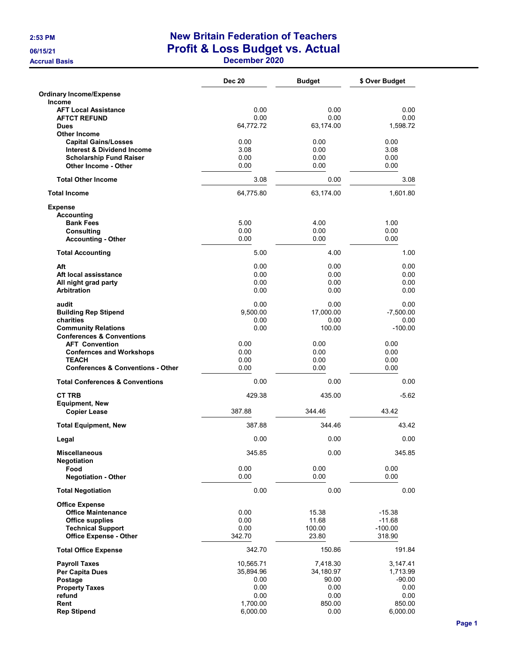## 2:53 PM New Britain Federation of Teachers 06/15/21 **Profit & Loss Budget vs. Actual**

Accrual Basis December 2020

|                                                                      | <b>Dec 20</b>  | <b>Budget</b>   | \$ Over Budget      |
|----------------------------------------------------------------------|----------------|-----------------|---------------------|
| <b>Ordinary Income/Expense</b><br>Income                             |                |                 |                     |
| <b>AFT Local Assistance</b>                                          | 0.00           | 0.00            | 0.00                |
| <b>AFTCT REFUND</b>                                                  | 0.00           | 0.00            | 0.00                |
| <b>Dues</b>                                                          | 64,772.72      | 63,174.00       | 1,598.72            |
| <b>Other Income</b>                                                  |                |                 |                     |
| <b>Capital Gains/Losses</b><br><b>Interest &amp; Dividend Income</b> | 0.00<br>3.08   | 0.00<br>0.00    | 0.00<br>3.08        |
| <b>Scholarship Fund Raiser</b>                                       | 0.00           | 0.00            | 0.00                |
| <b>Other Income - Other</b>                                          | 0.00           | 0.00            | 0.00                |
| <b>Total Other Income</b>                                            | 3.08           | 0.00            | 3.08                |
| <b>Total Income</b>                                                  | 64,775.80      | 63,174.00       | 1,601.80            |
| <b>Expense</b>                                                       |                |                 |                     |
| <b>Accounting</b>                                                    |                |                 |                     |
| <b>Bank Fees</b>                                                     | 5.00<br>0.00   | 4.00<br>0.00    | 1.00<br>0.00        |
| Consulting<br><b>Accounting - Other</b>                              | 0.00           | 0.00            | 0.00                |
| <b>Total Accounting</b>                                              | 5.00           | 4.00            | 1.00                |
| Aft                                                                  | 0.00           | 0.00            | 0.00                |
| Aft local assisstance                                                | 0.00           | 0.00            | 0.00                |
| All night grad party                                                 | 0.00           | 0.00            | 0.00                |
| <b>Arbitration</b>                                                   | 0.00           | 0.00            | 0.00                |
| audit                                                                | 0.00           | 0.00            | 0.00                |
| <b>Building Rep Stipend</b>                                          | 9,500.00       | 17,000.00       | $-7,500.00$         |
| charities                                                            | 0.00           | 0.00            | 0.00                |
| <b>Community Relations</b><br><b>Conferences &amp; Conventions</b>   | 0.00           | 100.00          | $-100.00$           |
| <b>AFT Convention</b>                                                | 0.00           | 0.00            | 0.00                |
| <b>Confernces and Workshops</b>                                      | 0.00           | 0.00            | 0.00                |
| <b>TEACH</b>                                                         | 0.00           | 0.00            | 0.00                |
| <b>Conferences &amp; Conventions - Other</b>                         | 0.00           | 0.00            | 0.00                |
| <b>Total Conferences &amp; Conventions</b>                           | 0.00           | 0.00            | 0.00                |
| <b>CT TRB</b>                                                        | 429.38         | 435.00          | $-5.62$             |
| <b>Equipment, New</b><br><b>Copier Lease</b>                         | 387.88         | 344.46          | 43.42               |
| <b>Total Equipment, New</b>                                          | 387.88         | 344.46          | 43.42               |
| Legal                                                                | 0.00           | 0.00            | 0.00                |
| <b>Miscellaneous</b>                                                 | 345.85         | 0.00            | 345.85              |
| Negotiation                                                          |                |                 |                     |
| Food<br><b>Negotiation - Other</b>                                   | 0.00<br>0.00   | 0.00<br>0.00    | 0.00<br>0.00        |
| <b>Total Negotiation</b>                                             | 0.00           | 0.00            | 0.00                |
| <b>Office Expense</b>                                                |                |                 |                     |
| <b>Office Maintenance</b>                                            | 0.00           | 15.38           | -15.38              |
| <b>Office supplies</b>                                               | 0.00           | 11.68           | $-11.68$            |
| <b>Technical Support</b><br><b>Office Expense - Other</b>            | 0.00<br>342.70 | 100.00<br>23.80 | $-100.00$<br>318.90 |
| <b>Total Office Expense</b>                                          | 342.70         | 150.86          | 191.84              |
| <b>Payroll Taxes</b>                                                 | 10,565.71      | 7,418.30        | 3,147.41            |
| Per Capita Dues                                                      | 35,894.96      | 34,180.97       | 1,713.99            |
| Postage                                                              | 0.00           | 90.00           | $-90.00$            |
| <b>Property Taxes</b>                                                | 0.00           | 0.00            | 0.00                |
| refund                                                               | 0.00           | 0.00            | 0.00                |
| Rent                                                                 | 1,700.00       | 850.00          | 850.00              |
| <b>Rep Stipend</b>                                                   | 6,000.00       | 0.00            | 6,000.00            |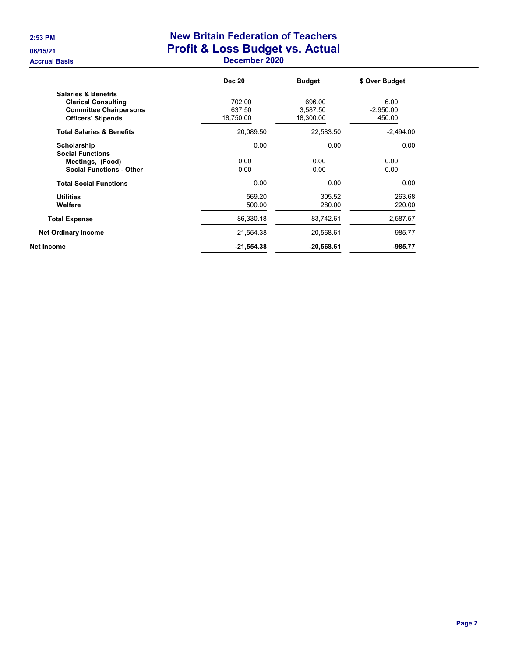## 2:53 PM New Britain Federation of Teachers 06/15/21 **Profit & Loss Budget vs. Actual** Accrual Basis December 2020

| December 202 |  |  |  |  |  |  |  |  |  |  |  |  |
|--------------|--|--|--|--|--|--|--|--|--|--|--|--|
|--------------|--|--|--|--|--|--|--|--|--|--|--|--|

|                                      | <b>Dec 20</b> | <b>Budget</b> | \$ Over Budget |
|--------------------------------------|---------------|---------------|----------------|
| <b>Salaries &amp; Benefits</b>       |               |               |                |
| <b>Clerical Consulting</b>           | 702.00        | 696.00        | 6.00           |
| <b>Committee Chairpersons</b>        | 637.50        | 3,587.50      | $-2,950.00$    |
| <b>Officers' Stipends</b>            | 18,750.00     | 18,300.00     | 450.00         |
| <b>Total Salaries &amp; Benefits</b> | 20,089.50     | 22,583.50     | $-2,494.00$    |
| Scholarship                          | 0.00          | 0.00          | 0.00           |
| <b>Social Functions</b>              |               |               |                |
| Meetings, (Food)                     | 0.00          | 0.00          | 0.00           |
| <b>Social Functions - Other</b>      | 0.00          | 0.00          | 0.00           |
| <b>Total Social Functions</b>        | 0.00          | 0.00          | 0.00           |
| <b>Utilities</b>                     | 569.20        | 305.52        | 263.68         |
| Welfare                              | 500.00        | 280.00        | 220.00         |
| <b>Total Expense</b>                 | 86,330.18     | 83,742.61     | 2,587.57       |
| <b>Net Ordinary Income</b>           | $-21,554.38$  | $-20,568.61$  | $-985.77$      |
| Net Income                           | $-21,554.38$  | $-20,568.61$  | $-985.77$      |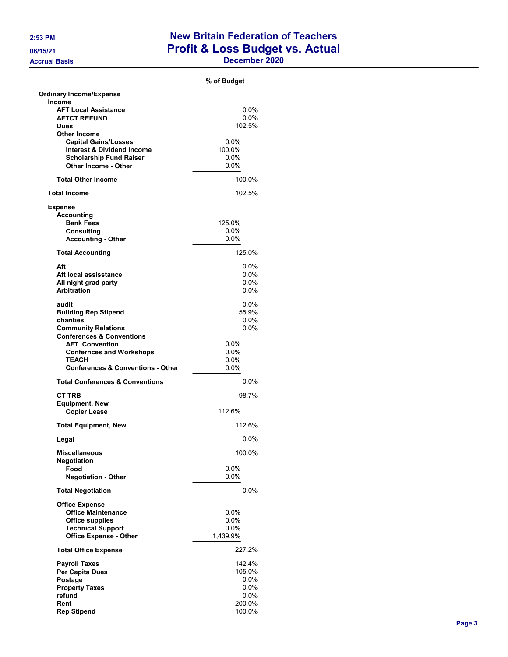## 2:53 PM New Britain Federation of Teachers 06/15/21 **Profit & Loss Budget vs. Actual**

Accrual Basis December 2020

|                                                    | % of Budget  |
|----------------------------------------------------|--------------|
| <b>Ordinary Income/Expense</b>                     |              |
| Income                                             |              |
| <b>AFT Local Assistance</b>                        | $0.0\%$      |
| <b>AFTCT REFUND</b>                                | 0.0%         |
| <b>Dues</b>                                        | 102.5%       |
| <b>Other Income</b><br><b>Capital Gains/Losses</b> | 0.0%         |
| <b>Interest &amp; Dividend Income</b>              | 100.0%       |
| <b>Scholarship Fund Raiser</b>                     | 0.0%         |
| Other Income - Other                               | $0.0\%$      |
| <b>Total Other Income</b>                          | 100.0%       |
|                                                    |              |
| <b>Total Income</b>                                | 102.5%       |
| <b>Expense</b>                                     |              |
| <b>Accounting</b><br><b>Bank Fees</b>              | 125.0%       |
| Consulting                                         | 0.0%         |
| <b>Accounting - Other</b>                          | 0.0%         |
|                                                    |              |
| <b>Total Accounting</b>                            | 125.0%       |
| Aft                                                | 0.0%         |
| Aft local assisstance                              | 0.0%<br>0.0% |
| All night grad party<br><b>Arbitration</b>         | $0.0\%$      |
|                                                    |              |
| audit                                              | 0.0%         |
| <b>Building Rep Stipend</b>                        | 55.9%        |
| charities                                          | $0.0\%$      |
| <b>Community Relations</b>                         | 0.0%         |
| <b>Conferences &amp; Conventions</b>               |              |
| <b>AFT Convention</b>                              | 0.0%         |
| <b>Confernces and Workshops</b>                    | 0.0%         |
| <b>TEACH</b>                                       | $0.0\%$      |
| <b>Conferences &amp; Conventions - Other</b>       | $0.0\%$      |
| <b>Total Conferences &amp; Conventions</b>         | 0.0%         |
| <b>CT TRB</b>                                      | 98.7%        |
| <b>Equipment, New</b>                              |              |
| <b>Copier Lease</b>                                | 112.6%       |
| <b>Total Equipment, New</b>                        | 112.6%       |
| Legal                                              | $0.0\%$      |
| <b>Miscellaneous</b><br><b>Negotiation</b>         | 100.0%       |
| Food                                               | 0.0%         |
| <b>Negotiation - Other</b>                         | 0.0%         |
| <b>Total Negotiation</b>                           | $0.0\%$      |
| <b>Office Expense</b>                              |              |
| <b>Office Maintenance</b>                          | 0.0%         |
| <b>Office supplies</b>                             | 0.0%         |
| <b>Technical Support</b>                           | $0.0\%$      |
| <b>Office Expense - Other</b>                      | 1,439.9%     |
| <b>Total Office Expense</b>                        | 227.2%       |
| <b>Payroll Taxes</b>                               | 142.4%       |
| Per Capita Dues                                    | 105.0%       |
| Postage                                            | $0.0\%$      |
| <b>Property Taxes</b>                              | $0.0\%$      |
| refund                                             | $0.0\%$      |
| Rent                                               | 200.0%       |
| <b>Rep Stipend</b>                                 | 100.0%       |